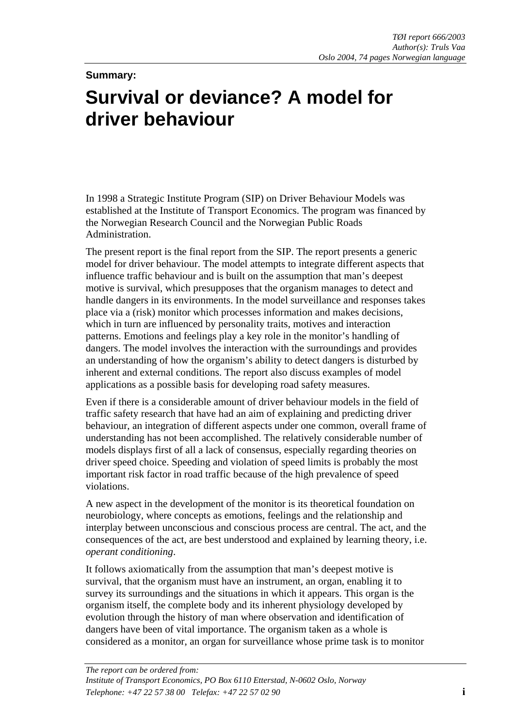## **Summary:**

## **Survival or deviance? A model for driver behaviour**

In 1998 a Strategic Institute Program (SIP) on Driver Behaviour Models was established at the Institute of Transport Economics. The program was financed by the Norwegian Research Council and the Norwegian Public Roads Administration.

The present report is the final report from the SIP. The report presents a generic model for driver behaviour. The model attempts to integrate different aspects that influence traffic behaviour and is built on the assumption that man's deepest motive is survival, which presupposes that the organism manages to detect and handle dangers in its environments. In the model surveillance and responses takes place via a (risk) monitor which processes information and makes decisions, which in turn are influenced by personality traits, motives and interaction patterns. Emotions and feelings play a key role in the monitor's handling of dangers. The model involves the interaction with the surroundings and provides an understanding of how the organism's ability to detect dangers is disturbed by inherent and external conditions. The report also discuss examples of model applications as a possible basis for developing road safety measures.

Even if there is a considerable amount of driver behaviour models in the field of traffic safety research that have had an aim of explaining and predicting driver behaviour, an integration of different aspects under one common, overall frame of understanding has not been accomplished. The relatively considerable number of models displays first of all a lack of consensus, especially regarding theories on driver speed choice. Speeding and violation of speed limits is probably the most important risk factor in road traffic because of the high prevalence of speed violations.

A new aspect in the development of the monitor is its theoretical foundation on neurobiology, where concepts as emotions, feelings and the relationship and interplay between unconscious and conscious process are central. The act, and the consequences of the act, are best understood and explained by learning theory, i.e. *operant conditioning*.

It follows axiomatically from the assumption that man's deepest motive is survival, that the organism must have an instrument, an organ, enabling it to survey its surroundings and the situations in which it appears. This organ is the organism itself, the complete body and its inherent physiology developed by evolution through the history of man where observation and identification of dangers have been of vital importance. The organism taken as a whole is considered as a monitor, an organ for surveillance whose prime task is to monitor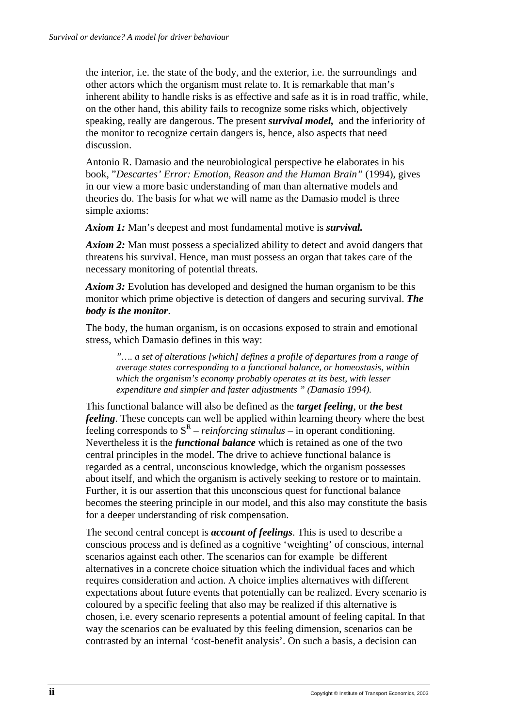the interior, i.e. the state of the body, and the exterior, i.e. the surroundings and other actors which the organism must relate to. It is remarkable that man's inherent ability to handle risks is as effective and safe as it is in road traffic, while, on the other hand, this ability fails to recognize some risks which, objectively speaking, really are dangerous. The present *survival model,* and the inferiority of the monitor to recognize certain dangers is, hence, also aspects that need discussion.

Antonio R. Damasio and the neurobiological perspective he elaborates in his book, "*Descartes' Error: Emotion, Reason and the Human Brain"* (1994), gives in our view a more basic understanding of man than alternative models and theories do. The basis for what we will name as the Damasio model is three simple axioms:

*Axiom 1:* Man's deepest and most fundamental motive is *survival.* 

*Axiom 2:* Man must possess a specialized ability to detect and avoid dangers that threatens his survival. Hence, man must possess an organ that takes care of the necessary monitoring of potential threats.

*Axiom 3:* Evolution has developed and designed the human organism to be this monitor which prime objective is detection of dangers and securing survival. *The body is the monitor*.

The body, the human organism, is on occasions exposed to strain and emotional stress, which Damasio defines in this way:

*"…. a set of alterations [which] defines a profile of departures from a range of average states corresponding to a functional balance, or homeostasis, within which the organism's economy probably operates at its best, with lesser expenditure and simpler and faster adjustments " (Damasio 1994).* 

This functional balance will also be defined as the *target feeling*, or *the best feeling*. These concepts can well be applied within learning theory where the best feeling corresponds to  $S<sup>R</sup>$  – *reinforcing stimulus* – in operant conditioning. Nevertheless it is the *functional balance* which is retained as one of the two central principles in the model. The drive to achieve functional balance is regarded as a central, unconscious knowledge, which the organism possesses about itself, and which the organism is actively seeking to restore or to maintain. Further, it is our assertion that this unconscious quest for functional balance becomes the steering principle in our model, and this also may constitute the basis for a deeper understanding of risk compensation.

The second central concept is *account of feelings*. This is used to describe a conscious process and is defined as a cognitive 'weighting' of conscious, internal scenarios against each other. The scenarios can for example be different alternatives in a concrete choice situation which the individual faces and which requires consideration and action. A choice implies alternatives with different expectations about future events that potentially can be realized. Every scenario is coloured by a specific feeling that also may be realized if this alternative is chosen, i.e. every scenario represents a potential amount of feeling capital. In that way the scenarios can be evaluated by this feeling dimension, scenarios can be contrasted by an internal 'cost-benefit analysis'. On such a basis, a decision can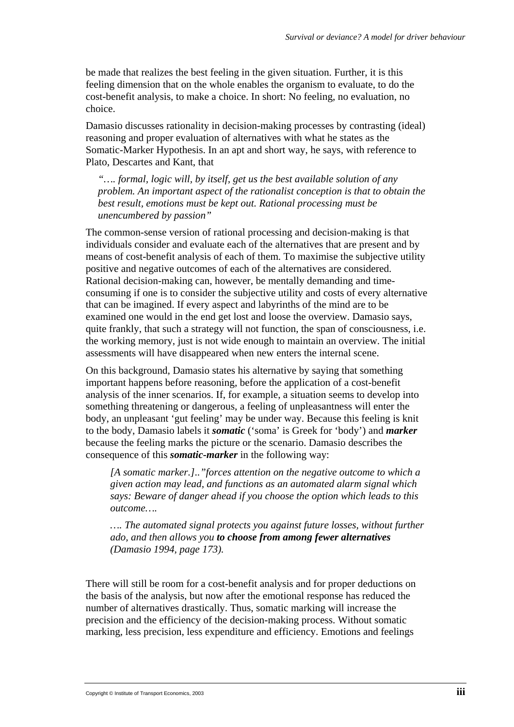be made that realizes the best feeling in the given situation. Further, it is this feeling dimension that on the whole enables the organism to evaluate, to do the cost-benefit analysis, to make a choice. In short: No feeling, no evaluation, no choice.

Damasio discusses rationality in decision-making processes by contrasting (ideal) reasoning and proper evaluation of alternatives with what he states as the Somatic-Marker Hypothesis. In an apt and short way, he says, with reference to Plato, Descartes and Kant, that

*"…. formal, logic will, by itself, get us the best available solution of any problem. An important aspect of the rationalist conception is that to obtain the best result, emotions must be kept out. Rational processing must be unencumbered by passion"* 

The common-sense version of rational processing and decision-making is that individuals consider and evaluate each of the alternatives that are present and by means of cost-benefit analysis of each of them. To maximise the subjective utility positive and negative outcomes of each of the alternatives are considered. Rational decision-making can, however, be mentally demanding and timeconsuming if one is to consider the subjective utility and costs of every alternative that can be imagined. If every aspect and labyrinths of the mind are to be examined one would in the end get lost and loose the overview. Damasio says, quite frankly, that such a strategy will not function, the span of consciousness, i.e. the working memory, just is not wide enough to maintain an overview. The initial assessments will have disappeared when new enters the internal scene.

On this background, Damasio states his alternative by saying that something important happens before reasoning, before the application of a cost-benefit analysis of the inner scenarios. If, for example, a situation seems to develop into something threatening or dangerous, a feeling of unpleasantness will enter the body, an unpleasant 'gut feeling' may be under way. Because this feeling is knit to the body, Damasio labels it *somatic* ('soma' is Greek for 'body') and *marker* because the feeling marks the picture or the scenario. Damasio describes the consequence of this *somatic-marker* in the following way:

*[A somatic marker.].."forces attention on the negative outcome to which a given action may lead, and functions as an automated alarm signal which says: Beware of danger ahead if you choose the option which leads to this outcome….* 

*…. The automated signal protects you against future losses, without further ado, and then allows you to choose from among fewer alternatives (Damasio 1994, page 173).* 

There will still be room for a cost-benefit analysis and for proper deductions on the basis of the analysis, but now after the emotional response has reduced the number of alternatives drastically. Thus, somatic marking will increase the precision and the efficiency of the decision-making process. Without somatic marking, less precision, less expenditure and efficiency. Emotions and feelings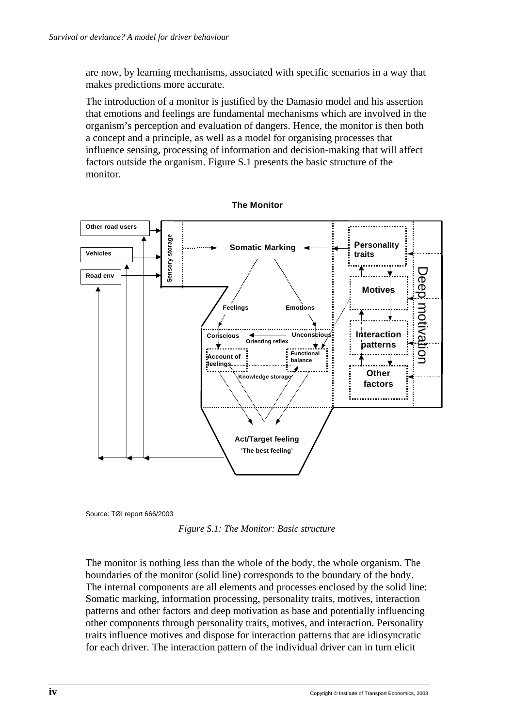are now, by learning mechanisms, associated with specific scenarios in a way that makes predictions more accurate.

The introduction of a monitor is justified by the Damasio model and his assertion that emotions and feelings are fundamental mechanisms which are involved in the organism's perception and evaluation of dangers. Hence, the monitor is then both a concept and a principle, as well as a model for organising processes that influence sensing, processing of information and decision-making that will affect factors outside the organism. Figure S.1 presents the basic structure of the monitor.



**The Monitor** 

Source: TØI report 666/2003

*Figure S.1: The Monitor: Basic structure* 

The monitor is nothing less than the whole of the body, the whole organism. The boundaries of the monitor (solid line) corresponds to the boundary of the body. The internal components are all elements and processes enclosed by the solid line: Somatic marking, information processing, personality traits, motives, interaction patterns and other factors and deep motivation as base and potentially influencing other components through personality traits, motives, and interaction. Personality traits influence motives and dispose for interaction patterns that are idiosyncratic for each driver. The interaction pattern of the individual driver can in turn elicit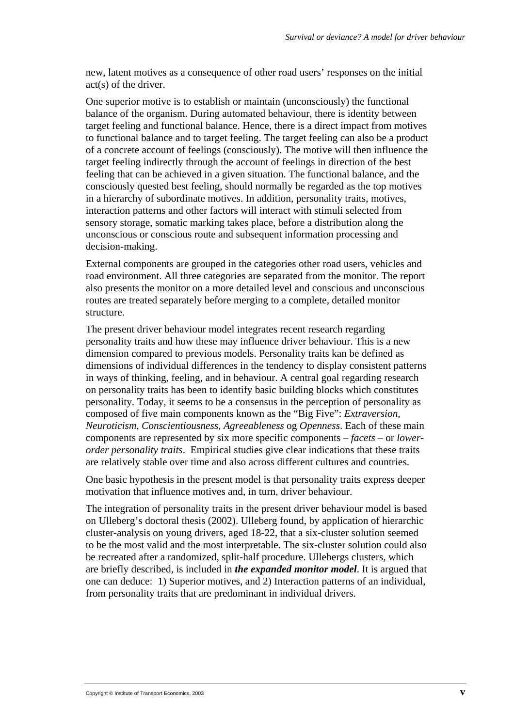new, latent motives as a consequence of other road users' responses on the initial act(s) of the driver.

One superior motive is to establish or maintain (unconsciously) the functional balance of the organism. During automated behaviour, there is identity between target feeling and functional balance. Hence, there is a direct impact from motives to functional balance and to target feeling. The target feeling can also be a product of a concrete account of feelings (consciously). The motive will then influence the target feeling indirectly through the account of feelings in direction of the best feeling that can be achieved in a given situation. The functional balance, and the consciously quested best feeling, should normally be regarded as the top motives in a hierarchy of subordinate motives. In addition, personality traits, motives, interaction patterns and other factors will interact with stimuli selected from sensory storage, somatic marking takes place, before a distribution along the unconscious or conscious route and subsequent information processing and decision-making.

External components are grouped in the categories other road users, vehicles and road environment. All three categories are separated from the monitor. The report also presents the monitor on a more detailed level and conscious and unconscious routes are treated separately before merging to a complete, detailed monitor structure.

The present driver behaviour model integrates recent research regarding personality traits and how these may influence driver behaviour. This is a new dimension compared to previous models. Personality traits kan be defined as dimensions of individual differences in the tendency to display consistent patterns in ways of thinking, feeling, and in behaviour. A central goal regarding research on personality traits has been to identify basic building blocks which constitutes personality. Today, it seems to be a consensus in the perception of personality as composed of five main components known as the "Big Five": *Extraversion, Neuroticism, Conscientiousness, Agreeableness* og *Openness*. Each of these main components are represented by six more specific components – *facets* – or *lowerorder personality traits*. Empirical studies give clear indications that these traits are relatively stable over time and also across different cultures and countries.

One basic hypothesis in the present model is that personality traits express deeper motivation that influence motives and, in turn, driver behaviour.

The integration of personality traits in the present driver behaviour model is based on Ulleberg's doctoral thesis (2002). Ulleberg found, by application of hierarchic cluster-analysis on young drivers, aged 18-22, that a six-cluster solution seemed to be the most valid and the most interpretable. The six-cluster solution could also be recreated after a randomized, split-half procedure. Ullebergs clusters, which are briefly described, is included in *the expanded monitor model*. It is argued that one can deduce: 1) Superior motives, and 2) Interaction patterns of an individual, from personality traits that are predominant in individual drivers.